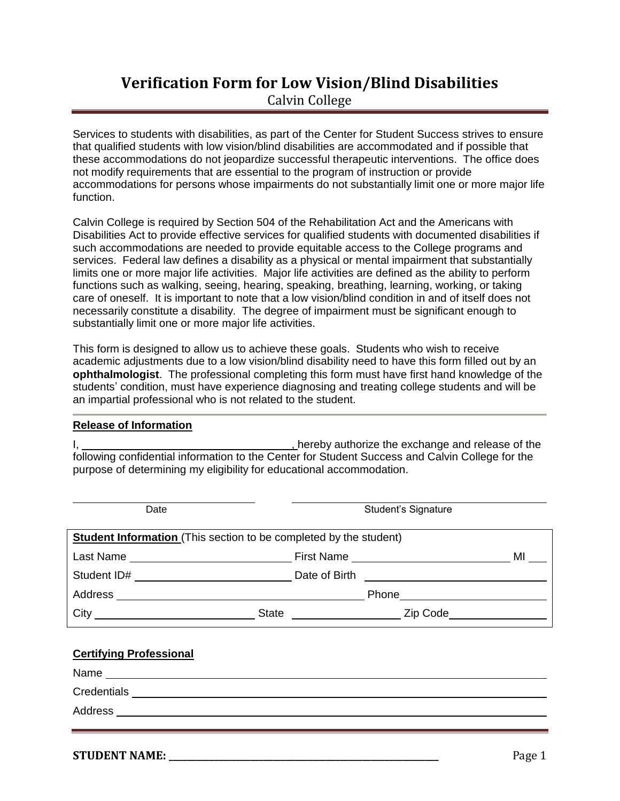# **Verification Form for Low Vision/Blind Disabilities** Calvin College

Services to students with disabilities, as part of the Center for Student Success strives to ensure that qualified students with low vision/blind disabilities are accommodated and if possible that these accommodations do not jeopardize successful therapeutic interventions. The office does not modify requirements that are essential to the program of instruction or provide accommodations for persons whose impairments do not substantially limit one or more major life function.

Calvin College is required by Section 504 of the Rehabilitation Act and the Americans with Disabilities Act to provide effective services for qualified students with documented disabilities if such accommodations are needed to provide equitable access to the College programs and services. Federal law defines a disability as a physical or mental impairment that substantially limits one or more major life activities. Major life activities are defined as the ability to perform functions such as walking, seeing, hearing, speaking, breathing, learning, working, or taking care of oneself. It is important to note that a low vision/blind condition in and of itself does not necessarily constitute a disability. The degree of impairment must be significant enough to substantially limit one or more major life activities.

This form is designed to allow us to achieve these goals. Students who wish to receive academic adjustments due to a low vision/blind disability need to have this form filled out by an **ophthalmologist**. The professional completing this form must have first hand knowledge of the students' condition, must have experience diagnosing and treating college students and will be an impartial professional who is not related to the student.

#### **Release of Information**

I, 1. All the exchange and release of the state of the state of the state of the state of the state of the state of the state of the state of the state of the state of the state of the state of the state of the state of th following confidential information to the Center for Student Success and Calvin College for the purpose of determining my eligibility for educational accommodation.

| Date                                                                     |                                                                                                                                                                                                                                | Student's Signature |                                                                                                                |      |  |
|--------------------------------------------------------------------------|--------------------------------------------------------------------------------------------------------------------------------------------------------------------------------------------------------------------------------|---------------------|----------------------------------------------------------------------------------------------------------------|------|--|
| <b>Student Information</b> (This section to be completed by the student) |                                                                                                                                                                                                                                |                     |                                                                                                                |      |  |
|                                                                          |                                                                                                                                                                                                                                |                     |                                                                                                                | MILL |  |
|                                                                          | Student ID# and a student iD and a student iD and a student iD and a student in the student of the student of the student of the student of the student of the student of the student of the student of the student of the stu |                     |                                                                                                                |      |  |
| Address                                                                  | <u> 1980 - Jan Samuel Barbara, margaret e</u> n 1980 eta eta eskualdean eta eskualdean eta eskualdean eta eskualdean                                                                                                           |                     | Phone <u>2008 - Phone</u>                                                                                      |      |  |
| City                                                                     | State                                                                                                                                                                                                                          |                     | Zip Code in the Sea of the Sea of the Sea of the Sea of the Sea of the Sea of the Sea of the Sea of the Sea of |      |  |

### **Certifying Professional**

| Name        |  |  |
|-------------|--|--|
| Credentials |  |  |
| Address     |  |  |
|             |  |  |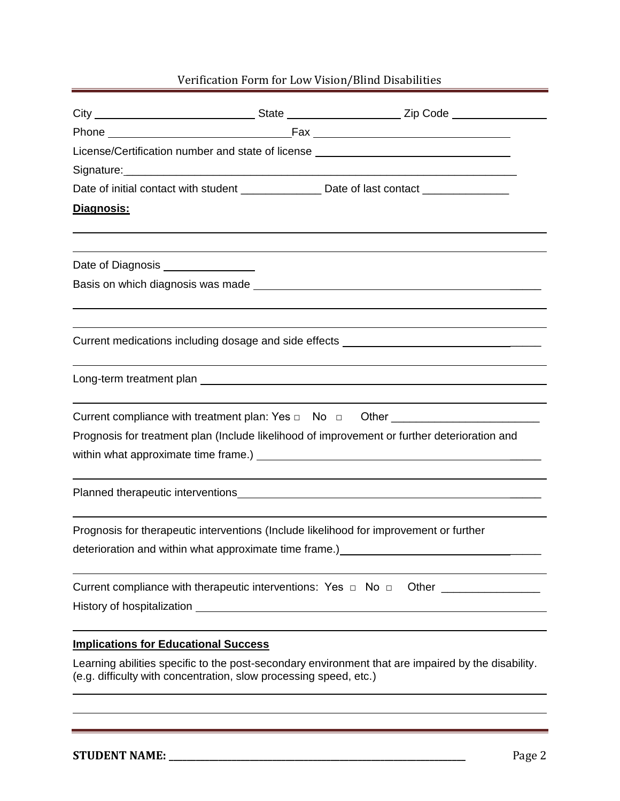## Verification Form for Low Vision/Blind Disabilities

|                                             |                                                         | City _________________________________State _______________________________Zip Code                                                                                                                                            |  |  |  |
|---------------------------------------------|---------------------------------------------------------|--------------------------------------------------------------------------------------------------------------------------------------------------------------------------------------------------------------------------------|--|--|--|
|                                             |                                                         |                                                                                                                                                                                                                                |  |  |  |
|                                             |                                                         | License/Certification number and state of license ______________________________                                                                                                                                               |  |  |  |
|                                             |                                                         |                                                                                                                                                                                                                                |  |  |  |
|                                             |                                                         | Date of initial contact with student ________________ Date of last contact _______________                                                                                                                                     |  |  |  |
| Diagnosis:                                  |                                                         |                                                                                                                                                                                                                                |  |  |  |
|                                             |                                                         |                                                                                                                                                                                                                                |  |  |  |
| Date of Diagnosis ________________          |                                                         |                                                                                                                                                                                                                                |  |  |  |
|                                             |                                                         |                                                                                                                                                                                                                                |  |  |  |
|                                             |                                                         |                                                                                                                                                                                                                                |  |  |  |
|                                             |                                                         | Current medications including dosage and side effects ___________________________                                                                                                                                              |  |  |  |
|                                             |                                                         |                                                                                                                                                                                                                                |  |  |  |
|                                             |                                                         | Current compliance with treatment plan: Yes □ No □ Other ______________________                                                                                                                                                |  |  |  |
|                                             |                                                         | Prognosis for treatment plan (Include likelihood of improvement or further deterioration and                                                                                                                                   |  |  |  |
|                                             |                                                         |                                                                                                                                                                                                                                |  |  |  |
|                                             |                                                         | Planned therapeutic interventions experience of the control of the control of the control of the control of the control of the control of the control of the control of the control of the control of the control of the contr |  |  |  |
|                                             | deterioration and within what approximate time frame.)_ | Prognosis for therapeutic interventions (Include likelihood for improvement or further                                                                                                                                         |  |  |  |
|                                             |                                                         | Current compliance with therapeutic interventions: Yes □ No □ Other ____________                                                                                                                                               |  |  |  |
| <b>Implications for Educational Success</b> |                                                         |                                                                                                                                                                                                                                |  |  |  |

Learning abilities specific to the post-secondary environment that are impaired by the disability. (e.g. difficulty with concentration, slow processing speed, etc.)